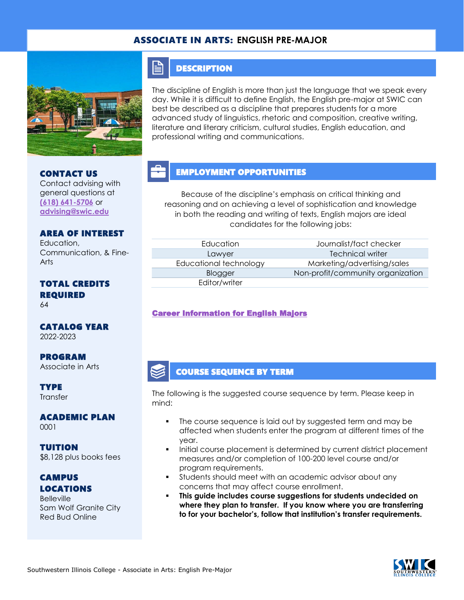### ASSOCIATE IN ARTS: **ENGLISH PRE-MAJOR**



CONTACT US

Contact advising with general questions at **[\(618\) 641-5706](tel:%20(618)%20641-5706)** or **[advising@swic.edu](mailto:advising@swic.edu)**

#### **DESCRIPTION**

E

The discipline of English is more than just the language that we speak every day. While it is difficult to define English, the English pre-major at SWIC can best be described as a discipline that prepares students for a more advanced study of linguistics, rhetoric and composition, creative writing, literature and literary criticism, cultural studies, English education, and professional writing and communications.

# EMPLOYMENT OPPORTUNITIES

Because of the discipline's emphasis on critical thinking and reasoning and on achieving a level of sophistication and knowledge in both the reading and writing of texts, English majors are ideal candidates for the following jobs:

|  | <b>AREA OF INTEREST</b> |
|--|-------------------------|
|  |                         |

Education, Communication, & Fine-Arts

# TOTAL CREDITS REQUIRED

64

#### CATALOG YEAR 2022-2023

PROGRAM Associate in Arts

**TYPE Transfer** 

ACADEMIC PLAN 0001

TUITION \$8,128 plus books fees

## CAMPUS LOCATIONS

**Belleville** Sam Wolf Granite City Red Bud Online

Editor/writer

Education Journalist/fact checker Lawyer **Technical writer** Educational technology Marketing/advertising/sales Blogger Non-profit/community organization

#### [Career Information for English Majors](https://www.onetonline.org/find/quick?s=english)

#### COURSE SEQUENCE BY TERM

The following is the suggested course sequence by term. Please keep in mind:

- The course sequence is laid out by suggested term and may be affected when students enter the program at different times of the year.
- Initial course placement is determined by current district placement measures and/or completion of 100-200 level course and/or program requirements.
- Students should meet with an academic advisor about any concerns that may affect course enrollment.
- **This guide includes course suggestions for students undecided on where they plan to transfer. If you know where you are transferring to for your bachelor's, follow that institution's transfer requirements.**